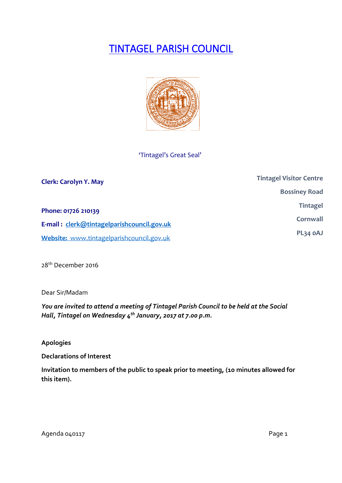# TINTAGEL PARISH COUNCIL



## 'Tintagel's Great Seal'

| <b>Clerk: Carolyn Y. May</b>               | <b>Tintagel Visitor Centre</b> |
|--------------------------------------------|--------------------------------|
|                                            | <b>Bossiney Road</b>           |
| Phone: 01726 210139                        | <b>Tintagel</b>                |
| E-mail: clerk@tintagelparishcouncil.gov.uk | Cornwall                       |
| Website: www.tintagelparishcouncil.gov.uk  | PL34 OAJ                       |

28th December 2016

Dear Sir/Madam

*You are invited to attend a meeting of Tintagel Parish Council to be held at the Social Hall, Tintagel on Wednesday 4 th January, 2017 at 7.00 p.m.* 

**Apologies**

**Declarations of Interest**

**Invitation to members of the public to speak prior to meeting, (10 minutes allowed for this item).**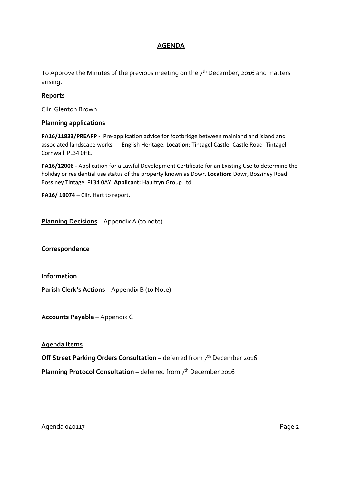## **AGENDA**

To Approve the Minutes of the previous meeting on the  $7<sup>th</sup>$  December, 2016 and matters arising.

### **Reports**

Cllr. Glenton Brown

#### **Planning applications**

**PA16/11833/PREAPP -** Pre-application advice for footbridge between mainland and island and associated landscape works. - English Heritage. **Location**: Tintagel Castle -Castle Road ,Tintagel Cornwall PL34 0HE.

**PA16/12006 -** Application for a Lawful Development Certificate for an Existing Use to determine the holiday or residential use status of the property known as Dowr. **Location:** Dowr, Bossiney Road Bossiney Tintagel PL34 0AY. **Applicant:** Haulfryn Group Ltd.

**PA16/ 10074 –** Cllr. Hart to report.

**Planning Decisions** – Appendix A (to note)

**Correspondence**

**Information**

**Parish Clerk's Actions** – Appendix B (to Note)

**Accounts Payable** – Appendix C

#### **Agenda Items**

**Off Street Parking Orders Consultation –** deferred from 7<sup>th</sup> December 2016 **Planning Protocol Consultation –** deferred from 7<sup>th</sup> December 2016